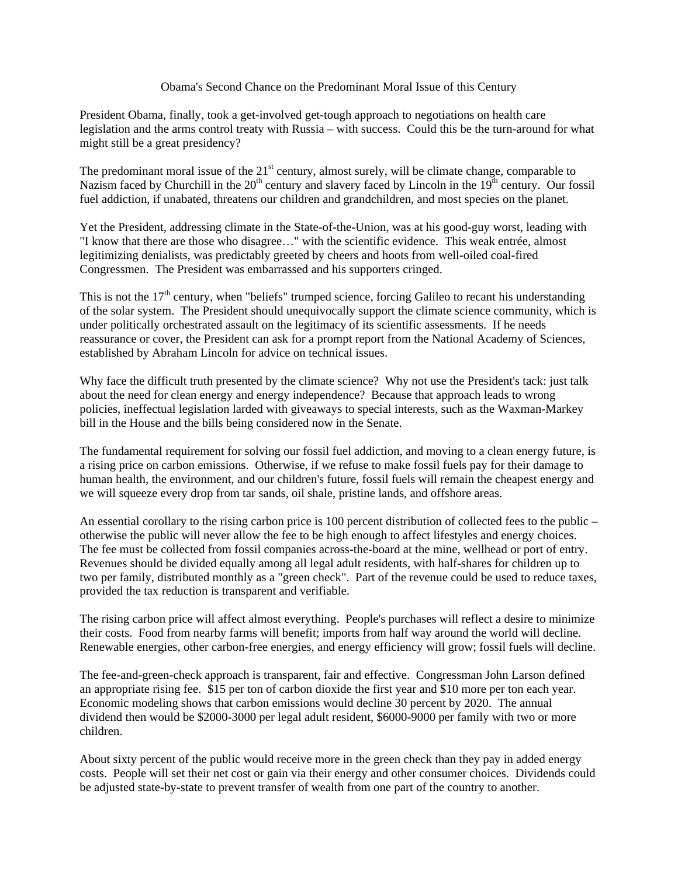## Obama's Second Chance on the Predominant Moral Issue of this Century

President Obama, finally, took a get-involved get-tough approach to negotiations on health care legislation and the arms control treaty with Russia – with success. Could this be the turn-around for what might still be a great presidency?

The predominant moral issue of the 21<sup>st</sup> century, almost surely, will be climate change, comparable to Nazism faced by Churchill in the  $20<sup>th</sup>$  century and slavery faced by Lincoln in the  $19<sup>th</sup>$  century. Our fossil fuel addiction, if unabated, threatens our children and grandchildren, and most species on the planet.

Yet the President, addressing climate in the State-of-the-Union, was at his good-guy worst, leading with "I know that there are those who disagree…" with the scientific evidence. This weak entrée, almost legitimizing denialists, was predictably greeted by cheers and hoots from well-oiled coal-fired Congressmen. The President was embarrassed and his supporters cringed.

This is not the  $17<sup>th</sup>$  century, when "beliefs" trumped science, forcing Galileo to recant his understanding of the solar system. The President should unequivocally support the climate science community, which is under politically orchestrated assault on the legitimacy of its scientific assessments. If he needs reassurance or cover, the President can ask for a prompt report from the National Academy of Sciences, established by Abraham Lincoln for advice on technical issues.

Why face the difficult truth presented by the climate science? Why not use the President's tack: just talk about the need for clean energy and energy independence? Because that approach leads to wrong policies, ineffectual legislation larded with giveaways to special interests, such as the Waxman-Markey bill in the House and the bills being considered now in the Senate.

The fundamental requirement for solving our fossil fuel addiction, and moving to a clean energy future, is a rising price on carbon emissions. Otherwise, if we refuse to make fossil fuels pay for their damage to human health, the environment, and our children's future, fossil fuels will remain the cheapest energy and we will squeeze every drop from tar sands, oil shale, pristine lands, and offshore areas.

An essential corollary to the rising carbon price is 100 percent distribution of collected fees to the public – otherwise the public will never allow the fee to be high enough to affect lifestyles and energy choices. The fee must be collected from fossil companies across-the-board at the mine, wellhead or port of entry. Revenues should be divided equally among all legal adult residents, with half-shares for children up to two per family, distributed monthly as a "green check". Part of the revenue could be used to reduce taxes, provided the tax reduction is transparent and verifiable.

The rising carbon price will affect almost everything. People's purchases will reflect a desire to minimize their costs. Food from nearby farms will benefit; imports from half way around the world will decline. Renewable energies, other carbon-free energies, and energy efficiency will grow; fossil fuels will decline.

The fee-and-green-check approach is transparent, fair and effective. Congressman John Larson defined an appropriate rising fee. \$15 per ton of carbon dioxide the first year and \$10 more per ton each year. Economic modeling shows that carbon emissions would decline 30 percent by 2020. The annual dividend then would be \$2000-3000 per legal adult resident, \$6000-9000 per family with two or more children.

About sixty percent of the public would receive more in the green check than they pay in added energy costs. People will set their net cost or gain via their energy and other consumer choices. Dividends could be adjusted state-by-state to prevent transfer of wealth from one part of the country to another.